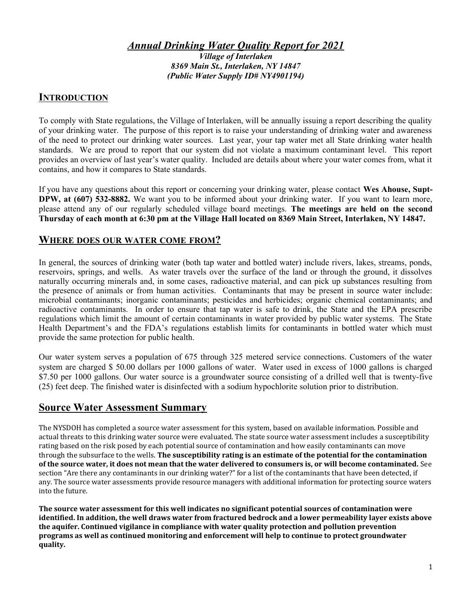#### Annual Drinking Water Quality Report for 2021 Village of Interlaken 8369 Main St., Interlaken, NY 14847 (Public Water Supply ID# NY4901194)

## **INTRODUCTION**

To comply with State regulations, the Village of Interlaken, will be annually issuing a report describing the quality of your drinking water. The purpose of this report is to raise your understanding of drinking water and awareness of the need to protect our drinking water sources. Last year, your tap water met all State drinking water health standards. We are proud to report that our system did not violate a maximum contaminant level. This report provides an overview of last year's water quality. Included are details about where your water comes from, what it contains, and how it compares to State standards.

If you have any questions about this report or concerning your drinking water, please contact Wes Ahouse, Supt-DPW, at (607) 532-8882. We want you to be informed about your drinking water. If you want to learn more, please attend any of our regularly scheduled village board meetings. The meetings are held on the second Thursday of each month at 6:30 pm at the Village Hall located on 8369 Main Street, Interlaken, NY 14847.

#### WHERE DOES OUR WATER COME FROM?

In general, the sources of drinking water (both tap water and bottled water) include rivers, lakes, streams, ponds, reservoirs, springs, and wells. As water travels over the surface of the land or through the ground, it dissolves naturally occurring minerals and, in some cases, radioactive material, and can pick up substances resulting from the presence of animals or from human activities. Contaminants that may be present in source water include: microbial contaminants; inorganic contaminants; pesticides and herbicides; organic chemical contaminants; and radioactive contaminants. In order to ensure that tap water is safe to drink, the State and the EPA prescribe regulations which limit the amount of certain contaminants in water provided by public water systems. The State Health Department's and the FDA's regulations establish limits for contaminants in bottled water which must provide the same protection for public health.

Our water system serves a population of 675 through 325 metered service connections. Customers of the water system are charged \$ 50.00 dollars per 1000 gallons of water. Water used in excess of 1000 gallons is charged \$7.50 per 1000 gallons. Our water source is a groundwater source consisting of a drilled well that is twenty-five (25) feet deep. The finished water is disinfected with a sodium hypochlorite solution prior to distribution.

## Source Water Assessment Summary

The NYSDOH has completed a source water assessment for this system, based on available information. Possible and actual threats to this drinking water source were evaluated. The state source water assessment includes a susceptibility rating based on the risk posed by each potential source of contamination and how easily contaminants can move through the subsurface to the wells. The susceptibility rating is an estimate of the potential for the contamination of the source water, it does not mean that the water delivered to consumers is, or will become contaminated. See section "Are there any contaminants in our drinking water?" for a list of the contaminants that have been detected, if any. The source water assessments provide resource managers with additional information for protecting source waters into the future.

The source water assessment for this well indicates no significant potential sources of contamination were identified. In addition, the well draws water from fractured bedrock and a lower permeability layer exists above the aquifer. Continued vigilance in compliance with water quality protection and pollution prevention programs as well as continued monitoring and enforcement will help to continue to protect groundwater quality.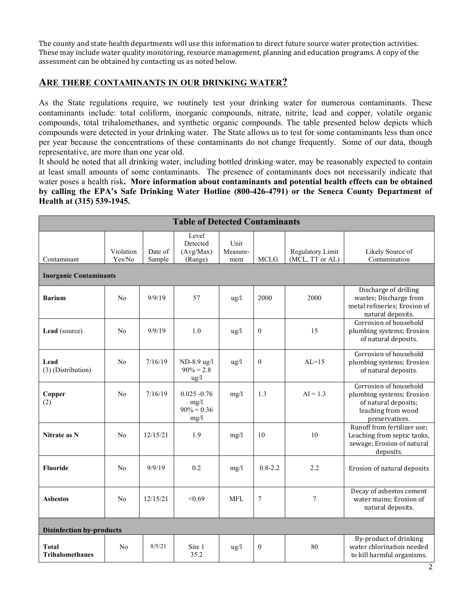The county and state health departments will use this information to direct future source water protection activities. These may include water quality monitoring, resource management, planning and education programs. A copy of the assessment can be obtained by contacting us as noted below.

### ARE THERE CONTAMINANTS IN OUR DRINKING WATER?

As the State regulations require, we routinely test your drinking water for numerous contaminants. These contaminants include: total coliform, inorganic compounds, nitrate, nitrite, lead and copper, volatile organic compounds, total trihalomethanes, and synthetic organic compounds. The table presented below depicts which compounds were detected in your drinking water. The State allows us to test for some contaminants less than once per year because the concentrations of these contaminants do not change frequently. Some of our data, though representative, are more than one year old.

It should be noted that all drinking water, including bottled drinking water, may be reasonably expected to contain at least small amounts of some contaminants. The presence of contaminants does not necessarily indicate that water poses a health risk. More information about contaminants and potential health effects can be obtained by calling the EPA's Safe Drinking Water Hotline (800-426-4791) or the Seneca County Department of Health at (315) 539-1945.

| <b>Table of Detected Contaminants</b>        |                     |                   |                                                 |                          |              |                                     |                                                                                                                     |  |  |  |
|----------------------------------------------|---------------------|-------------------|-------------------------------------------------|--------------------------|--------------|-------------------------------------|---------------------------------------------------------------------------------------------------------------------|--|--|--|
| Contaminant<br><b>Inorganic Contaminants</b> | Violation<br>Yes/No | Date of<br>Sample | Level<br>Detected<br>(Avg/Max)<br>(Range)       | Unit<br>Measure-<br>ment | <b>MCLG</b>  | Regulatory Limit<br>(MCL, TT or AL) | Likely Source of<br>Contamination                                                                                   |  |  |  |
| <b>Barium</b>                                | No                  | 9/9/19            | 57                                              | ug/l                     | 2000         | 2000                                | Discharge of drilling<br>wastes; Discharge from<br>metal refineries; Erosion of<br>natural deposits.                |  |  |  |
| Lead (source)                                | No                  | 9/9/19            | 1.0                                             | ug/l                     | $\mathbf{0}$ | 15                                  | Corrosion of household<br>plumbing systems; Erosion<br>of natural deposits.                                         |  |  |  |
| Lead<br>(3) (Distribution)                   | No                  | 7/16/19           | ND-8.9 ug/l<br>$90\% = 2.8$<br>ug/l             | ug/l                     | $\mathbf{0}$ | $AL=15$                             | Corrosion of household<br>plumbing systems; Erosion<br>of natural deposits.                                         |  |  |  |
| Copper<br>(2)                                | No                  | 7/16/19           | $0.025 - 0.76$<br>mg/1<br>$90\% = 0.36$<br>mg/1 | mg/l                     | 1.3          | $AI = 1.3$                          | Corrosion of household<br>plumbing systems; Erosion<br>of natural deposits;<br>leaching from wood<br>preservatives. |  |  |  |
| Nitrate as N                                 | N <sub>0</sub>      | 12/15/21          | 1.9                                             | mg/1                     | 10           | 10                                  | Runoff from fertilizer use;<br>Leaching from septic tanks,<br>sewage; Erosion of natural<br>deposits.               |  |  |  |
| <b>Fluoride</b>                              | No                  | 9/9/19            | 0.2                                             | mg/1                     | $0.8 - 2.2$  | 2.2                                 | Erosion of natural deposits                                                                                         |  |  |  |
| <b>Asbestos</b>                              | No                  | 12/15/21          | < 0.69                                          | <b>MFL</b>               | 7            | $\overline{7}$                      | Decay of asbestos cement<br>water mains; Erosion of<br>natural deposits.                                            |  |  |  |
| <b>Disinfection by-products</b>              |                     |                   |                                                 |                          |              |                                     |                                                                                                                     |  |  |  |
| <b>Total</b><br><b>Trihalomethanes</b>       | N <sub>0</sub>      | 8/5/21            | Site 1<br>35.2                                  | ug/l                     | $\theta$     | 80                                  | By-product of drinking<br>water chlorination needed<br>to kill harmful organisms.                                   |  |  |  |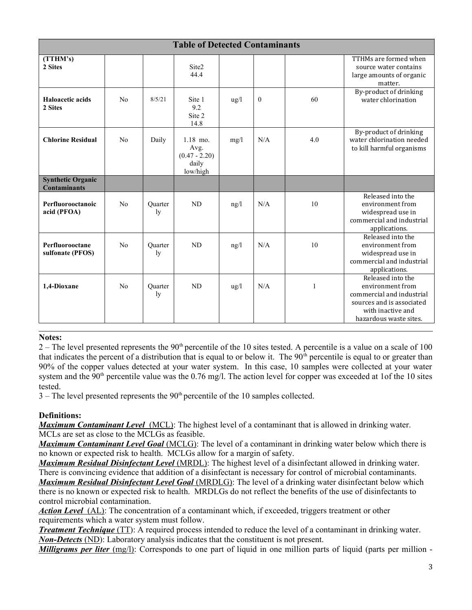| <b>Table of Detected Contaminants</b>           |                |               |                                                            |                 |          |     |                                                                                                                                                |  |  |
|-------------------------------------------------|----------------|---------------|------------------------------------------------------------|-----------------|----------|-----|------------------------------------------------------------------------------------------------------------------------------------------------|--|--|
| (TTHM's)<br>2 Sites                             |                |               | Site2<br>44.4                                              |                 |          |     | TTHMs are formed when<br>source water contains<br>large amounts of organic<br>matter.                                                          |  |  |
| Haloacetic acids<br>2 Sites                     | N <sub>0</sub> | 8/5/21        | Site 1<br>9.2<br>Site 2<br>14.8                            | $\frac{u g}{l}$ | $\theta$ | 60  | By-product of drinking<br>water chlorination                                                                                                   |  |  |
| <b>Chlorine Residual</b>                        | No             | Daily         | $1.18$ mo.<br>Avg.<br>$(0.47 - 2.20)$<br>daily<br>low/high | mg/1            | N/A      | 4.0 | By-product of drinking<br>water chlorination needed<br>to kill harmful organisms                                                               |  |  |
| <b>Synthetic Organic</b><br><b>Contaminants</b> |                |               |                                                            |                 |          |     |                                                                                                                                                |  |  |
| Perfluorooctanoic<br>acid (PFOA)                | No             | Ouarter<br>ly | N <sub>D</sub>                                             | ng/l            | N/A      | 10  | Released into the<br>environment from<br>widespread use in<br>commercial and industrial<br>applications.                                       |  |  |
| Perfluorooctane<br>sulfonate (PFOS)             | No             | Ouarter<br>ly | ND                                                         | ng/l            | N/A      | 10  | Released into the<br>environment from<br>widespread use in<br>commercial and industrial<br>applications.                                       |  |  |
| 1.4-Dioxane                                     | No             | Ouarter<br>ly | <b>ND</b>                                                  | $\frac{u g}{l}$ | N/A      | 1   | Released into the<br>environment from<br>commercial and industrial<br>sources and is associated<br>with inactive and<br>hazardous waste sites. |  |  |

#### Notes:

 $2 -$ The level presented represents the 90<sup>th</sup> percentile of the 10 sites tested. A percentile is a value on a scale of 100 that indicates the percent of a distribution that is equal to or below it. The  $90<sup>th</sup>$  percentile is equal to or greater than 90% of the copper values detected at your water system. In this case, 10 samples were collected at your water system and the  $90<sup>th</sup>$  percentile value was the 0.76 mg/l. The action level for copper was exceeded at 1of the 10 sites tested.

 $3$  – The level presented represents the  $90<sup>th</sup>$  percentile of the 10 samples collected.

#### Definitions:

**Maximum Contaminant Level** (MCL): The highest level of a contaminant that is allowed in drinking water. MCLs are set as close to the MCLGs as feasible.

**Maximum Contaminant Level Goal** (MCLG): The level of a contaminant in drinking water below which there is no known or expected risk to health. MCLGs allow for a margin of safety.

Maximum Residual Disinfectant Level (MRDL): The highest level of a disinfectant allowed in drinking water. There is convincing evidence that addition of a disinfectant is necessary for control of microbial contaminants. **Maximum Residual Disinfectant Level Goal** (MRDLG): The level of a drinking water disinfectant below which there is no known or expected risk to health. MRDLGs do not reflect the benefits of the use of disinfectants to control microbial contamination.

Action Level (AL): The concentration of a contaminant which, if exceeded, triggers treatment or other requirements which a water system must follow.

**Treatment Technique** (TT): A required process intended to reduce the level of a contaminant in drinking water. Non-Detects (ND): Laboratory analysis indicates that the constituent is not present.

*Milligrams per liter*  $(mg/l)$ : Corresponds to one part of liquid in one million parts of liquid (parts per million -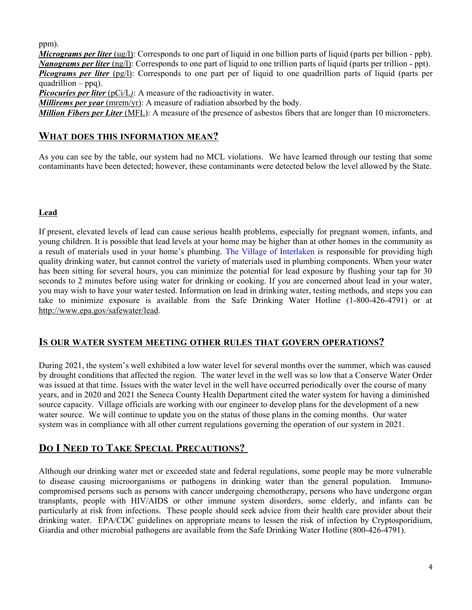ppm).

*Micrograms per liter*  $\left(\frac{ug}{l}\right)$ : Corresponds to one part of liquid in one billion parts of liquid (parts per billion - ppb). Nanograms per liter (ng/l): Corresponds to one part of liquid to one trillion parts of liquid (parts per trillion - ppt). *Picograms per liter* ( $pg/l$ ): Corresponds to one part per of liquid to one quadrillion parts of liquid (parts per quadrillion – ppq).

Picocuries per liter  $(pCi/L)$ : A measure of the radioactivity in water.

Millirems per year (mrem/yr): A measure of radiation absorbed by the body.

**Million Fibers per Liter** (MFL): A measure of the presence of asbestos fibers that are longer than 10 micrometers.

### WHAT DOES THIS INFORMATION MEAN?

As you can see by the table, our system had no MCL violations. We have learned through our testing that some contaminants have been detected; however, these contaminants were detected below the level allowed by the State.

#### Lead

If present, elevated levels of lead can cause serious health problems, especially for pregnant women, infants, and young children. It is possible that lead levels at your home may be higher than at other homes in the community as a result of materials used in your home's plumbing. The Village of Interlaken is responsible for providing high quality drinking water, but cannot control the variety of materials used in plumbing components. When your water has been sitting for several hours, you can minimize the potential for lead exposure by flushing your tap for 30 seconds to 2 minutes before using water for drinking or cooking. If you are concerned about lead in your water, you may wish to have your water tested. Information on lead in drinking water, testing methods, and steps you can take to minimize exposure is available from the Safe Drinking Water Hotline (1-800-426-4791) or at http://www.epa.gov/safewater/lead.

#### IS OUR WATER SYSTEM MEETING OTHER RULES THAT GOVERN OPERATIONS?

During 2021, the system's well exhibited a low water level for several months over the summer, which was caused by drought conditions that affected the region. The water level in the well was so low that a Conserve Water Order was issued at that time. Issues with the water level in the well have occurred periodically over the course of many years, and in 2020 and 2021 the Seneca County Health Department cited the water system for having a diminished source capacity. Village officials are working with our engineer to develop plans for the development of a new water source. We will continue to update you on the status of those plans in the coming months. Our water system was in compliance with all other current regulations governing the operation of our system in 2021.

## DO I NEED TO TAKE SPECIAL PRECAUTIONS?

Although our drinking water met or exceeded state and federal regulations, some people may be more vulnerable to disease causing microorganisms or pathogens in drinking water than the general population. Immunocompromised persons such as persons with cancer undergoing chemotherapy, persons who have undergone organ transplants, people with HIV/AIDS or other immune system disorders, some elderly, and infants can be particularly at risk from infections. These people should seek advice from their health care provider about their drinking water. EPA/CDC guidelines on appropriate means to lessen the risk of infection by Cryptosporidium, Giardia and other microbial pathogens are available from the Safe Drinking Water Hotline (800-426-4791).